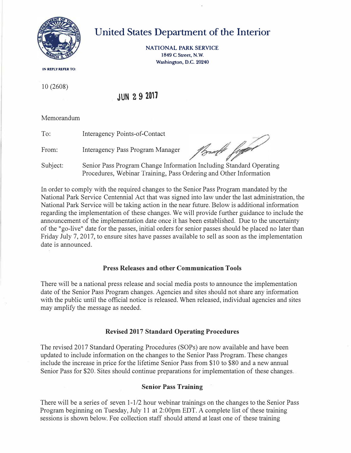

# **United States Department of the Interior**

**NATIONAL PARK SERVICE 1849 C Street, N.W. Washington, D.C. 20240** 

**IN REPLY REFER TO:** 

10 (2608)

# **JUN 2 9 2011**

Memorandum

To: Interagency Points-of-Contact

From: Interagency Pass Program Manager

Podle fygd

Subject: Senior Pass Program Change Information Including Standard Operating Procedures, Webinar Training, Pass Ordering and Other Information

In order to comply with the required changes to the Senior Pass Program mandated by the National Park Service Centennial Act that was signed into law under the last administration, the National Park Service will be taking action in the near future. Below is additional information regarding the implementation of these changes. We will provide further guidance to include the announcement of the implementation date once it has been established. Due to the uncertainty of the "go-live" date for the passes, initial orders for senior passes should be placed no later than Friday July 7, 2017, to ensure sites have passes available to sell as soon as the implementation date is announced.

# **Press Releases and other Communication Tools**

There will be a national press release and social media posts to announce the implementation date of the Senior Pass Program changes. Agencies and sites should not share any information with the public until the official notice is released. When released, individual agencies and sites may amplify the message as needed.

# **Revised 2017 Standard Operating Procedures**

The revised 2017 Standard Operating Procedures (SOPs) are now available and have been updated to include information on the changes to the Senior Pass Program. These changes include the increase in price for the lifetime Senior Pass from \$10 to \$80 and a new annual Senior Pass for \$20. Sites should continue preparations for implementation of these changes.

# **Senior Pass Training**

There will be a series of seven 1-1/2 hour webinar trainings on the changes to the Senior Pass Program beginning on Tuesday, July 11 at 2:00pm EDT. A complete list of these training sessions is shown below. Fee collection staff should attend at least one of these training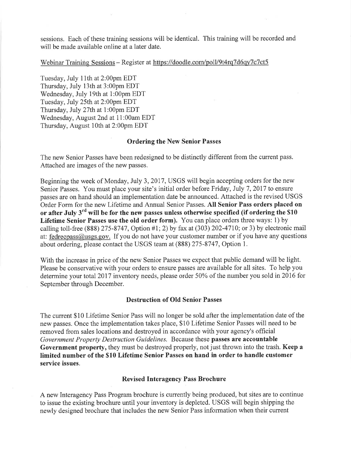sessions. Each of these training sessions will be identical. This training will be recorded and will be made available online at a later date.

Webinar Training Sessions - Register at https://doodle.com/poll/9t4rq7d6qy7c7ct5

Tuesday, July 11th at 2:00pm EDT Thursday, July 13th at 3:00pm EDT Wednesday, July 19th at 1:00pm EDT Tuesday, July 25th at 2:00pm EDT Thursday, July 27th at 1:00pm EDT Wednesday, August 2nd at 11:00am EDT Thursday, August 10th at 2:00pm EDT

#### **Ordering the New Senior Passes**

The new Senior Passes have been redesigned to be distinctly different from the current pass. Attached are images of the new passes.

Beginning the week of Monday, July 3, 2017, USGS will begin accepting orders for the new Senior Passes. You must place your site's initial order before Friday, July 7, 2017 to ensure passes are on hand should an implementation date be announced. Attached is the revised USGS Order Form for the new Lifetime and Annual Senior Passes. All Senior Pass orders placed on or after July 3<sup>rd</sup> will be for the new passes unless otherwise specified (if ordering the \$10 Lifetime Senior Passes use the old order form). You can place orders three ways: 1) by calling toll-free (888) 275-8747, Option #1; 2) by fax at (303) 202-4710; or 3) by electronic mail at: fedrecpass@usgs.gov. If you do not have your customer number or if you have any questions about ordering, please contact the USGS team at (888) 275-8747, Option 1.

With the increase in price of the new Senior Passes we expect that public demand will be light. Please be conservative with your orders to ensure passes are available for all sites. To help you determine your total 2017 inventory needs, please order 50% of the number you sold in 2016 for September through December.

# **Destruction of Old Senior Passes**

The current \$10 Lifetime Senior Pass will no longer be sold after the implementation date of the new passes. Once the implementation takes place, \$10 Lifetime Senior Passes will need to be removed from sales locations and destroyed in accordance with your agency's official Government Property Destruction Guidelines. Because these passes are accountable Government property, they must be destroyed properly, not just thrown into the trash. Keep a limited number of the \$10 Lifetime Senior Passes on hand in order to handle customer service issues.

# **Revised Interagency Pass Brochure**

A new Interagency Pass Program brochure is currently being produced, but sites are to continue to issue the existing brochure until your inventory is depleted. USGS will begin shipping the newly designed brochure that includes the new Senior Pass information when their current